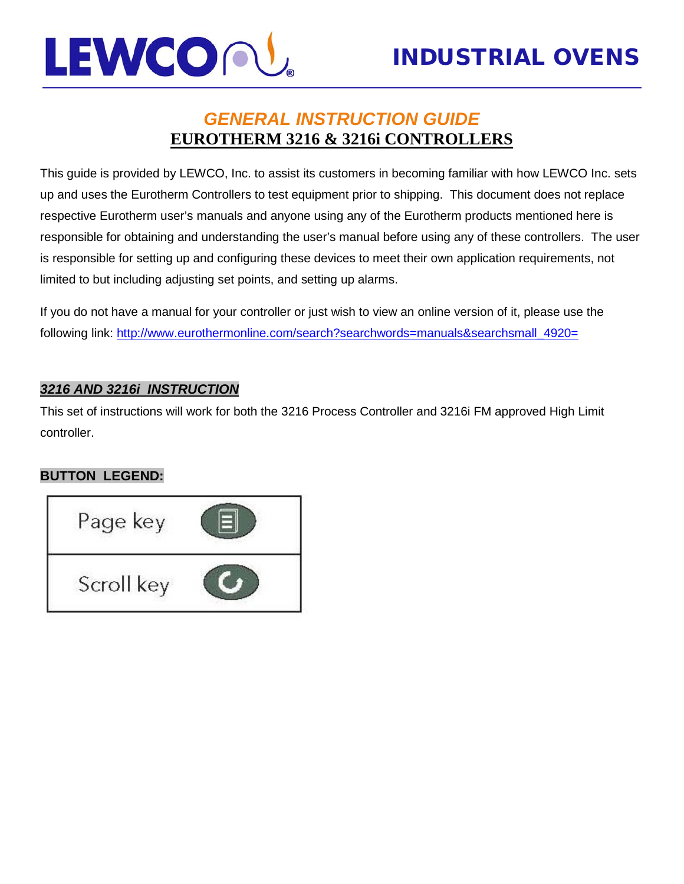

This guide is provided by LEWCO, Inc. to assist its customers in becoming familiar with how LEWCO Inc. sets up and uses the Eurotherm Controllers to test equipment prior to shipping. This document does not replace respective Eurotherm user's manuals and anyone using any of the Eurotherm products mentioned here is responsible for obtaining and understanding the user's manual before using any of these controllers. The user is responsible for setting up and configuring these devices to meet their own application requirements, not limited to but including adjusting set points, and setting up alarms.

If you do not have a manual for your controller or just wish to view an online version of it, please use the following link: [http://www.eurothermonline.com/search?searchwords=manuals&searchsmall\\_4920=](http://www.eurothermonline.com/search?searchwords=manuals&searchsmall_4920=)

### *3216 AND 3216i INSTRUCTION*

This set of instructions will work for both the 3216 Process Controller and 3216i FM approved High Limit controller.

#### **BUTTON LEGEND:**

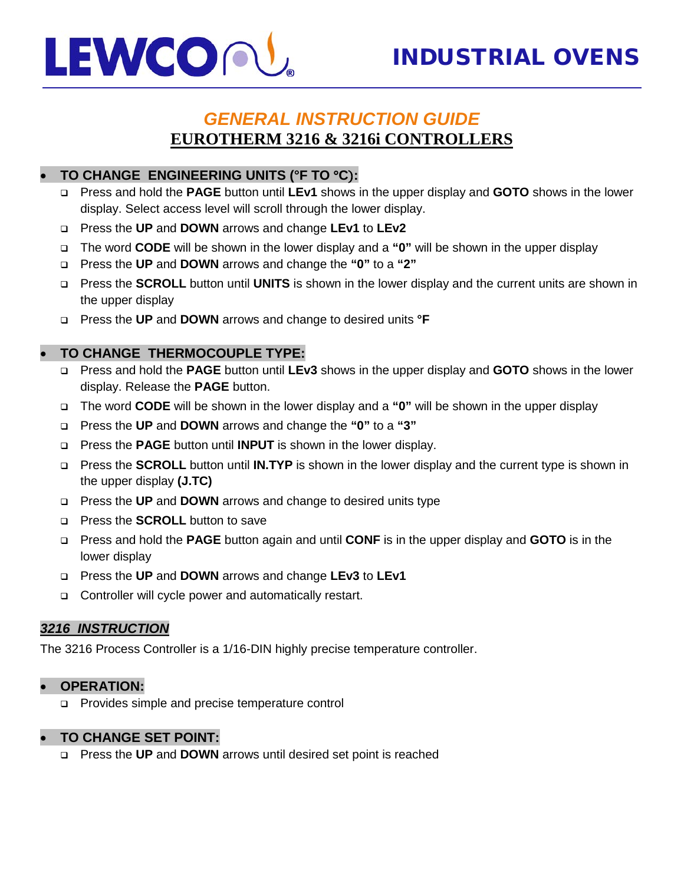

### • **TO CHANGE ENGINEERING UNITS (°F TO** °**C**)**:**

- Press and hold the **PAGE** button until **LEv1** shows in the upper display and **GOTO** shows in the lower display. Select access level will scroll through the lower display.
- Press the **UP** and **DOWN** arrows and change **LEv1** to **LEv2**
- The word **CODE** will be shown in the lower display and a **"0"** will be shown in the upper display
- Press the **UP** and **DOWN** arrows and change the **"0"** to a **"2"**
- Press the **SCROLL** button until **UNITS** is shown in the lower display and the current units are shown in the upper display
- Press the **UP** and **DOWN** arrows and change to desired units **°F**

### • **TO CHANGE THERMOCOUPLE TYPE:**

- Press and hold the **PAGE** button until **LEv3** shows in the upper display and **GOTO** shows in the lower display. Release the **PAGE** button.
- The word **CODE** will be shown in the lower display and a **"0"** will be shown in the upper display
- Press the **UP** and **DOWN** arrows and change the **"0"** to a **"3"**
- Press the **PAGE** button until **INPUT** is shown in the lower display.
- Press the **SCROLL** button until **IN.TYP** is shown in the lower display and the current type is shown in the upper display **(J.TC)**
- Press the **UP** and **DOWN** arrows and change to desired units type
- Press the **SCROLL** button to save
- Press and hold the **PAGE** button again and until **CONF** is in the upper display and **GOTO** is in the lower display
- Press the **UP** and **DOWN** arrows and change **LEv3** to **LEv1**
- □ Controller will cycle power and automatically restart.

#### *3216 INSTRUCTION*

The 3216 Process Controller is a 1/16-DIN highly precise temperature controller.

#### • **OPERATION:**

Provides simple and precise temperature control

#### • **TO CHANGE SET POINT:**

Press the **UP** and **DOWN** arrows until desired set point is reached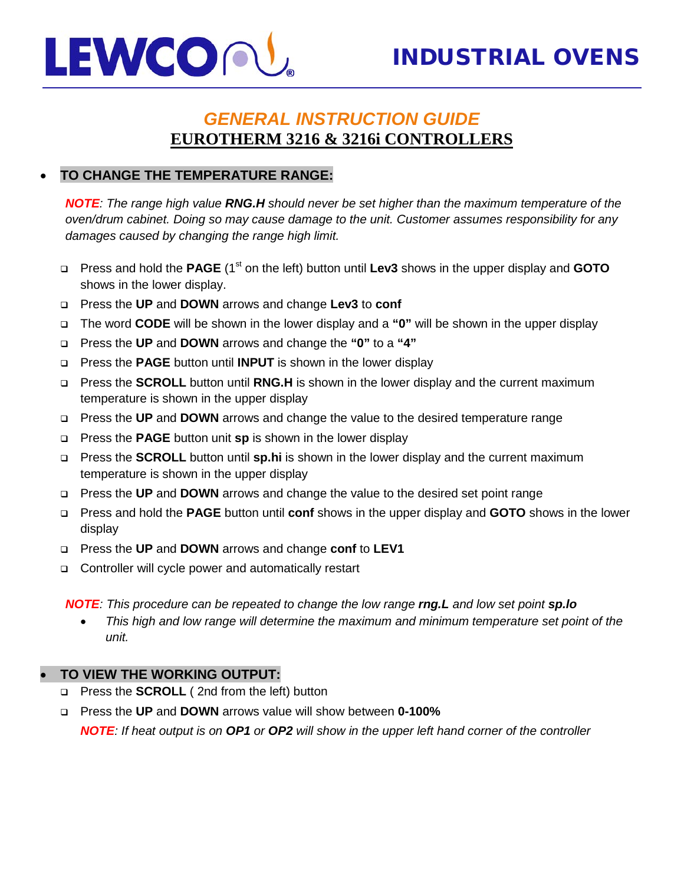

### • **TO CHANGE THE TEMPERATURE RANGE:**

*NOTE: The range high value RNG.H should never be set higher than the maximum temperature of the oven/drum cabinet. Doing so may cause damage to the unit. Customer assumes responsibility for any damages caused by changing the range high limit.*

- Press and hold the **PAGE** (1st on the left) button until **Lev3** shows in the upper display and **GOTO** shows in the lower display.
- Press the **UP** and **DOWN** arrows and change **Lev3** to **conf**
- The word **CODE** will be shown in the lower display and a **"0"** will be shown in the upper display
- Press the **UP** and **DOWN** arrows and change the **"0"** to a **"4"**
- Press the **PAGE** button until **INPUT** is shown in the lower display
- Press the **SCROLL** button until **RNG.H** is shown in the lower display and the current maximum temperature is shown in the upper display
- Press the **UP** and **DOWN** arrows and change the value to the desired temperature range
- Press the **PAGE** button unit **sp** is shown in the lower display
- Press the **SCROLL** button until **sp.hi** is shown in the lower display and the current maximum temperature is shown in the upper display
- Press the **UP** and **DOWN** arrows and change the value to the desired set point range
- Press and hold the **PAGE** button until **conf** shows in the upper display and **GOTO** shows in the lower display
- Press the **UP** and **DOWN** arrows and change **conf** to **LEV1**
- Controller will cycle power and automatically restart

*NOTE: This procedure can be repeated to change the low range rng.L and low set point sp.lo*

• *This high and low range will determine the maximum and minimum temperature set point of the unit.*

### • **TO VIEW THE WORKING OUTPUT:**

- Press the **SCROLL** ( 2nd from the left) button
- Press the **UP** and **DOWN** arrows value will show between **0-100%** *NOTE: If heat output is on OP1 or OP2 will show in the upper left hand corner of the controller*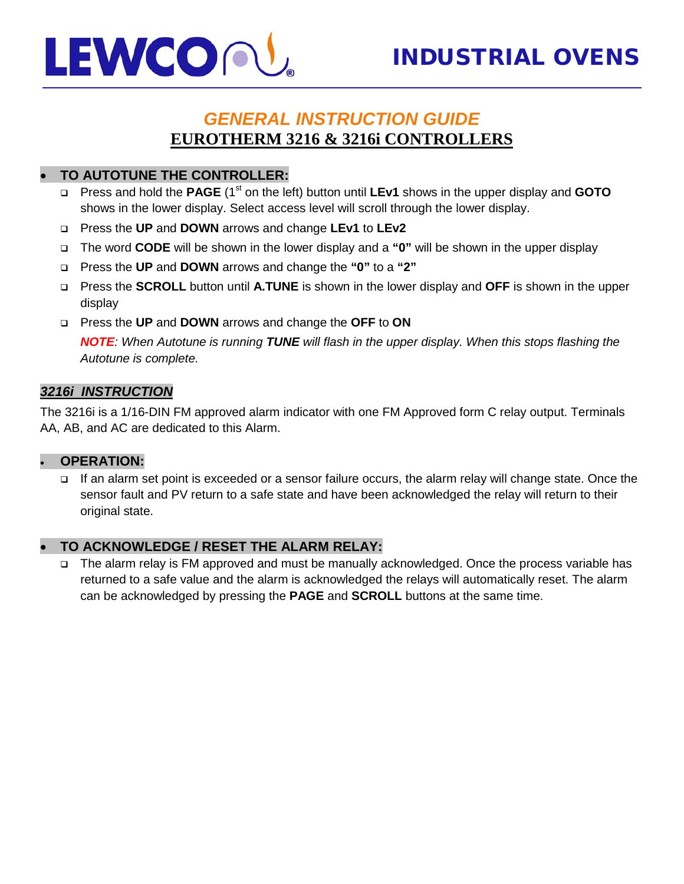

### • **TO AUTOTUNE THE CONTROLLER:**

- □ Press and hold the **PAGE** (1<sup>st</sup> on the left) button until LEv1 shows in the upper display and **GOTO** shows in the lower display. Select access level will scroll through the lower display.
- Press the **UP** and **DOWN** arrows and change **LEv1** to **LEv2**
- The word **CODE** will be shown in the lower display and a **"0"** will be shown in the upper display
- Press the **UP** and **DOWN** arrows and change the **"0"** to a **"2"**
- Press the **SCROLL** button until **A.TUNE** is shown in the lower display and **OFF** is shown in the upper display
- Press the **UP** and **DOWN** arrows and change the **OFF** to **ON**

*NOTE: When Autotune is running TUNE will flash in the upper display. When this stops flashing the Autotune is complete.* 

### *3216i INSTRUCTION*

The 3216i is a 1/16-DIN FM approved alarm indicator with one FM Approved form C relay output. Terminals AA, AB, and AC are dedicated to this Alarm.

#### • **OPERATION:**

□ If an alarm set point is exceeded or a sensor failure occurs, the alarm relay will change state. Once the sensor fault and PV return to a safe state and have been acknowledged the relay will return to their original state.

### • **TO ACKNOWLEDGE / RESET THE ALARM RELAY:**

 The alarm relay is FM approved and must be manually acknowledged. Once the process variable has returned to a safe value and the alarm is acknowledged the relays will automatically reset. The alarm can be acknowledged by pressing the **PAGE** and **SCROLL** buttons at the same time.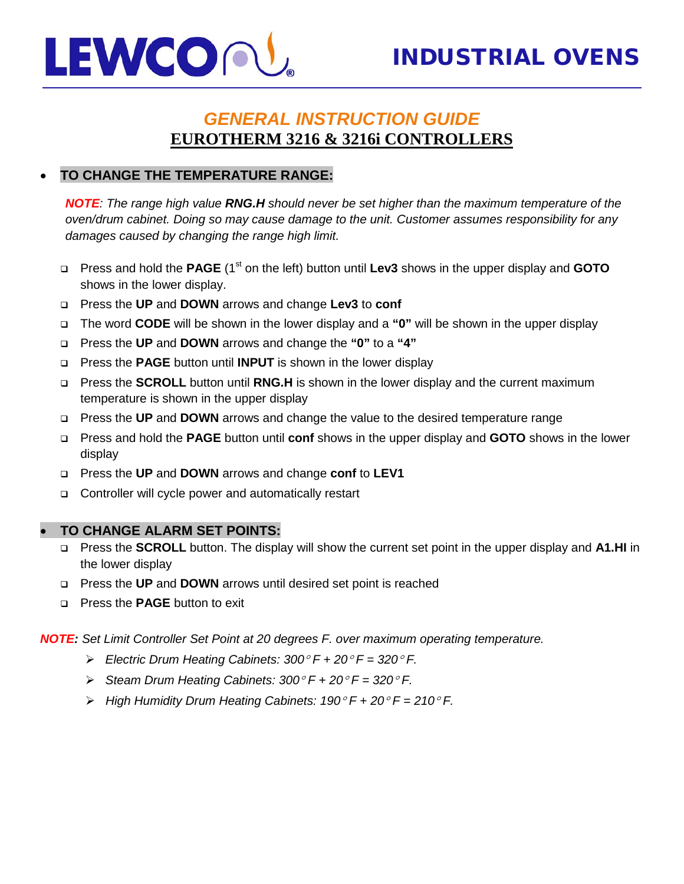

### • **TO CHANGE THE TEMPERATURE RANGE:**

*NOTE: The range high value RNG.H should never be set higher than the maximum temperature of the oven/drum cabinet. Doing so may cause damage to the unit. Customer assumes responsibility for any damages caused by changing the range high limit.*

- Press and hold the **PAGE** (1st on the left) button until **Lev3** shows in the upper display and **GOTO** shows in the lower display.
- Press the **UP** and **DOWN** arrows and change **Lev3** to **conf**
- The word **CODE** will be shown in the lower display and a **"0"** will be shown in the upper display
- Press the **UP** and **DOWN** arrows and change the **"0"** to a **"4"**
- Press the **PAGE** button until **INPUT** is shown in the lower display
- Press the **SCROLL** button until **RNG.H** is shown in the lower display and the current maximum temperature is shown in the upper display
- Press the **UP** and **DOWN** arrows and change the value to the desired temperature range
- Press and hold the **PAGE** button until **conf** shows in the upper display and **GOTO** shows in the lower display
- Press the **UP** and **DOWN** arrows and change **conf** to **LEV1**
- □ Controller will cycle power and automatically restart

#### • **TO CHANGE ALARM SET POINTS:**

- Press the **SCROLL** button. The display will show the current set point in the upper display and **A1.HI** in the lower display
- Press the **UP** and **DOWN** arrows until desired set point is reached
- **Press the PAGE** button to exit

*NOTE: Set Limit Controller Set Point at 20 degrees F. over maximum operating temperature.*

- *Electric Drum Heating Cabinets: 300*° *F + 20*° *F = 320*° *F.*
- *Steam Drum Heating Cabinets: 300*° *F + 20*° *F = 320*° *F.*
- *High Humidity Drum Heating Cabinets: 190*° *F + 20*° *F = 210*° *F.*